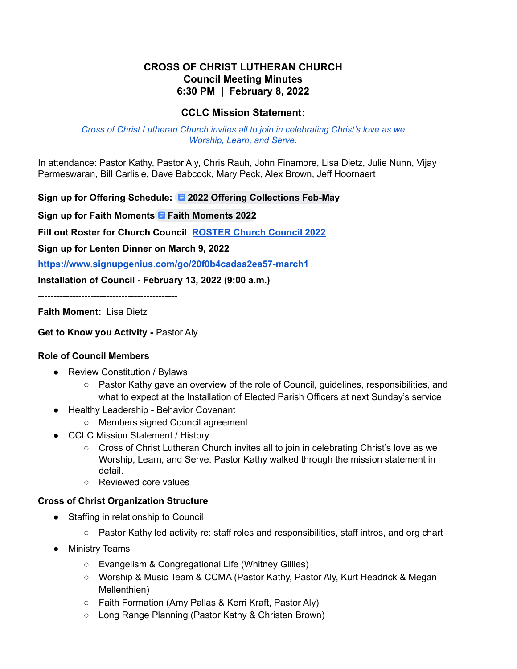# **CROSS OF CHRIST LUTHERAN CHURCH Council Meeting Minutes 6:30 PM | February 8, 2022**

# **CCLC Mission Statement:**

#### *Cross of Christ Lutheran Church invites all to join in celebrating Christ's love as we Worship, Learn, and Serve.*

In attendance: Pastor Kathy, Pastor Aly, Chris Rauh, John Finamore, Lisa Dietz, Julie Nunn, Vijay Permeswaran, Bill Carlisle, Dave Babcock, Mary Peck, Alex Brown, Jeff Hoornaert

# **Sign up for Offering Schedule: 2022 Offering [Collections](https://docs.google.com/document/d/1zNCBLqesGXSCXoNwUEkVKVUrMAnENcT5sBfHu2lniGI/edit) Feb-May**

**Sign up for Faith Moments Faith [Moments](https://docs.google.com/document/d/1nf5BhwYR2KUedbzLVqOZTJY2UCyMalogQNYmxe56sBs/edit?usp=sharing) 2022**

**Fill out Roster for Church Council [ROSTER](https://docs.google.com/document/u/0/d/1-L2Y29u92Wh_qFBW8WZZimXh4-I_UNAumob7_7fJXNw/edit) Church Council 2022**

**Sign up for Lenten Dinner on March 9, 2022**

**<https://www.signupgenius.com/go/20f0b4cadaa2ea57-march1>**

**Installation of Council - February 13, 2022 (9:00 a.m.)**

**---------------------------------------------**

**Faith Moment:** Lisa Dietz

**Get to Know you Activity -** Pastor Aly

### **Role of Council Members**

- Review Constitution / Bylaws
	- Pastor Kathy gave an overview of the role of Council, guidelines, responsibilities, and what to expect at the Installation of Elected Parish Officers at next Sunday's service
- Healthy Leadership Behavior Covenant
	- Members signed Council agreement
- CCLC Mission Statement / History
	- Cross of Christ Lutheran Church invites all to join in celebrating Christ's love as we Worship, Learn, and Serve. Pastor Kathy walked through the mission statement in detail.
	- Reviewed core values

### **Cross of Christ Organization Structure**

- Staffing in relationship to Council
	- Pastor Kathy led activity re: staff roles and responsibilities, staff intros, and org chart
- Ministry Teams
	- Evangelism & Congregational Life (Whitney Gillies)
	- Worship & Music Team & CCMA (Pastor Kathy, Pastor Aly, Kurt Headrick & Megan Mellenthien)
	- Faith Formation (Amy Pallas & Kerri Kraft, Pastor Aly)
	- Long Range Planning (Pastor Kathy & Christen Brown)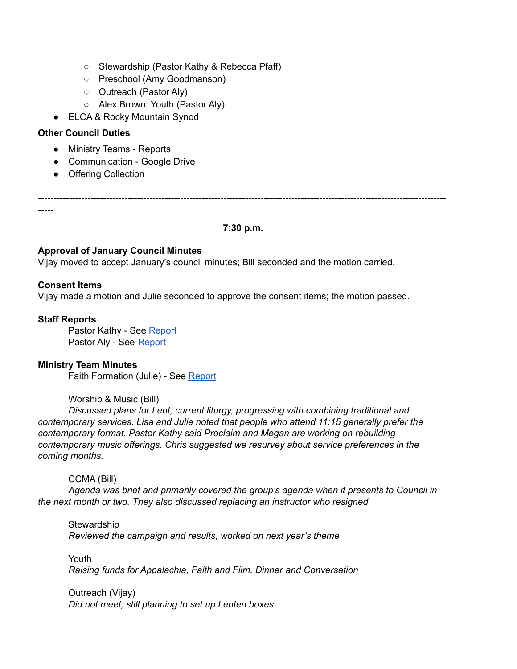- Stewardship (Pastor Kathy & Rebecca Pfaff)
- Preschool (Amy Goodmanson)
- Outreach (Pastor Aly)
- Alex Brown: Youth (Pastor Aly)
- ELCA & Rocky Mountain Synod

# **Other Council Duties**

- Ministry Teams Reports
- Communication Google Drive
- Offering Collection

**------------------------------------------------------------------------------------------------------------------------------------**

**-----**

#### **7:30 p.m.**

### **Approval of January Council Minutes**

Vijay moved to accept January's council minutes; Bill seconded and the motion carried.

### **Consent Items**

Vijay made a motion and Julie seconded to approve the consent items; the motion passed.

# **Staff Reports**

Pastor Kathy - See [Report](https://docs.google.com/document/d/1tLwrU11yg_jNoqm7t7PPrmw2NYcQrIDs/edit) Pastor Aly - See [Report](https://drive.google.com/drive/folders/1Eifl7ci3FV3f4KeaOyewXIoU_OKl5Q0C)

### **Ministry Team Minutes**

Faith Formation (Julie) - See [Report](https://docs.google.com/document/d/1D6OGPDkcPpnAn31kU1h5jIRvTudw0w1n/edit)

# Worship & Music (Bill)

*Discussed plans for Lent, current liturgy, progressing with combining traditional and contemporary services. Lisa and Julie noted that people who attend 11:15 generally prefer the contemporary format. Pastor Kathy said Proclaim and Megan are working on rebuilding contemporary music offerings. Chris suggested we resurvey about service preferences in the coming months.*

CCMA (Bill)

*Agenda was brief and primarily covered the group's agenda when it presents to Council in the next month or two. They also discussed replacing an instructor who resigned.*

**Stewardship** *Reviewed the campaign and results, worked on next year's theme*

Youth *Raising funds for Appalachia, Faith and Film, Dinner and Conversation*

Outreach (Vijay) *Did not meet; still planning to set up Lenten boxes*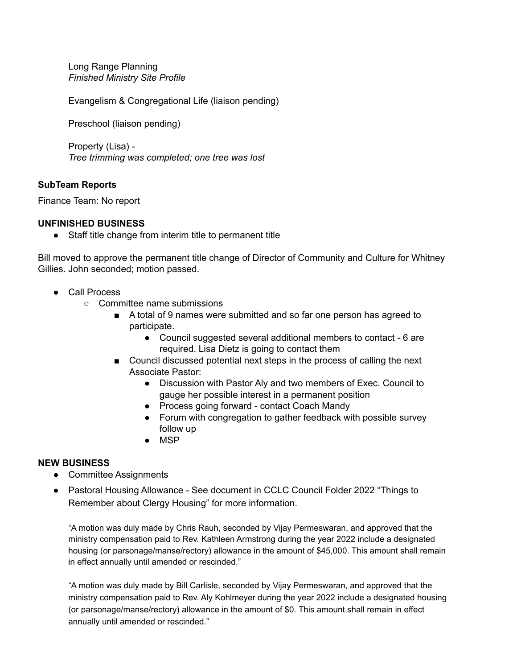Long Range Planning *Finished Ministry Site Profile*

Evangelism & Congregational Life (liaison pending)

Preschool (liaison pending)

Property (Lisa) - *Tree trimming was completed; one tree was lost*

### **SubTeam Reports**

Finance Team: No report

### **UNFINISHED BUSINESS**

● Staff title change from interim title to permanent title

Bill moved to approve the permanent title change of Director of Community and Culture for Whitney Gillies. John seconded; motion passed.

- Call Process
	- Committee name submissions
		- A total of 9 names were submitted and so far one person has agreed to participate.
			- Council suggested several additional members to contact 6 are required. Lisa Dietz is going to contact them
		- Council discussed potential next steps in the process of calling the next Associate Pastor:
			- Discussion with Pastor Aly and two members of Exec. Council to gauge her possible interest in a permanent position
			- Process going forward contact Coach Mandy
			- Forum with congregation to gather feedback with possible survey follow up
			- MSP

### **NEW BUSINESS**

- Committee Assignments
- Pastoral Housing Allowance See document in CCLC Council Folder 2022 "Things to Remember about Clergy Housing" for more information.

"A motion was duly made by Chris Rauh, seconded by Vijay Permeswaran, and approved that the ministry compensation paid to Rev. Kathleen Armstrong during the year 2022 include a designated housing (or parsonage/manse/rectory) allowance in the amount of \$45,000. This amount shall remain in effect annually until amended or rescinded."

"A motion was duly made by Bill Carlisle, seconded by Vijay Permeswaran, and approved that the ministry compensation paid to Rev. Aly Kohlmeyer during the year 2022 include a designated housing (or parsonage/manse/rectory) allowance in the amount of \$0. This amount shall remain in effect annually until amended or rescinded."